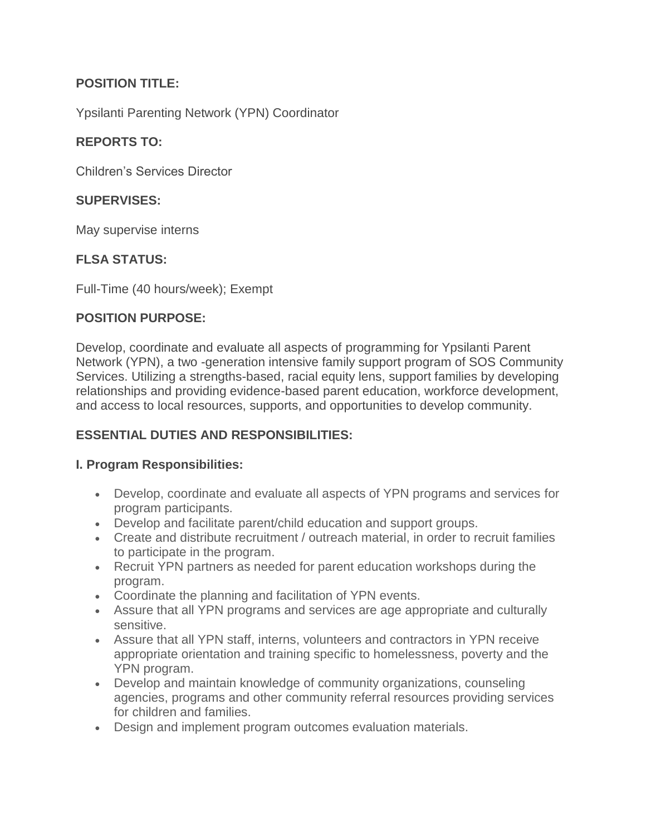# **POSITION TITLE:**

Ypsilanti Parenting Network (YPN) Coordinator

### **REPORTS TO:**

Children's Services Director

### **SUPERVISES:**

May supervise interns

### **FLSA STATUS:**

Full-Time (40 hours/week); Exempt

### **POSITION PURPOSE:**

Develop, coordinate and evaluate all aspects of programming for Ypsilanti Parent Network (YPN), a two -generation intensive family support program of SOS Community Services. Utilizing a strengths-based, racial equity lens, support families by developing relationships and providing evidence-based parent education, workforce development, and access to local resources, supports, and opportunities to develop community.

### **ESSENTIAL DUTIES AND RESPONSIBILITIES:**

#### **I. Program Responsibilities:**

- Develop, coordinate and evaluate all aspects of YPN programs and services for program participants.
- Develop and facilitate parent/child education and support groups.
- Create and distribute recruitment / outreach material, in order to recruit families to participate in the program.
- Recruit YPN partners as needed for parent education workshops during the program.
- Coordinate the planning and facilitation of YPN events.
- Assure that all YPN programs and services are age appropriate and culturally sensitive.
- Assure that all YPN staff, interns, volunteers and contractors in YPN receive appropriate orientation and training specific to homelessness, poverty and the YPN program.
- Develop and maintain knowledge of community organizations, counseling agencies, programs and other community referral resources providing services for children and families.
- Design and implement program outcomes evaluation materials.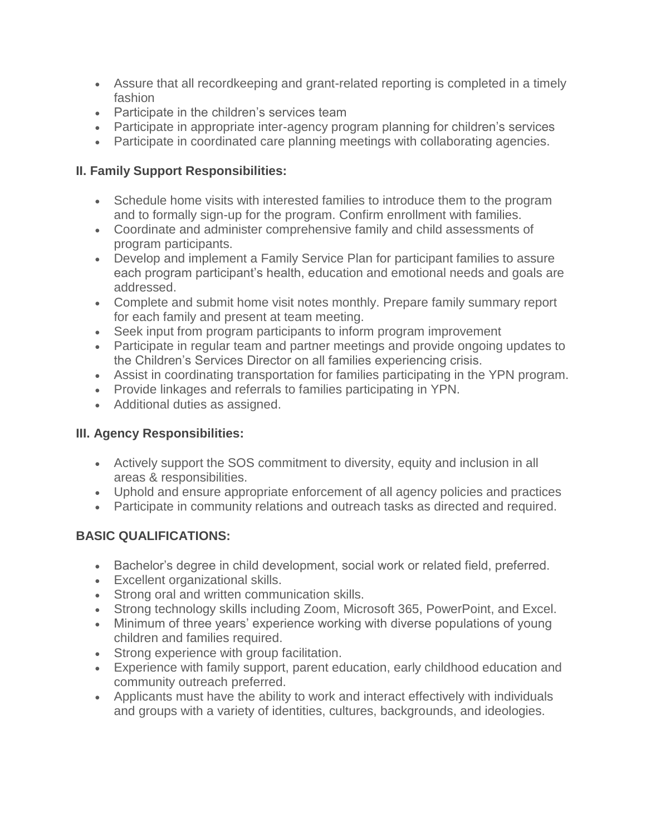- Assure that all recordkeeping and grant-related reporting is completed in a timely fashion
- Participate in the children's services team
- Participate in appropriate inter-agency program planning for children's services
- Participate in coordinated care planning meetings with collaborating agencies.

# **II. Family Support Responsibilities:**

- Schedule home visits with interested families to introduce them to the program and to formally sign-up for the program. Confirm enrollment with families.
- Coordinate and administer comprehensive family and child assessments of program participants.
- Develop and implement a Family Service Plan for participant families to assure each program participant's health, education and emotional needs and goals are addressed.
- Complete and submit home visit notes monthly. Prepare family summary report for each family and present at team meeting.
- Seek input from program participants to inform program improvement
- Participate in regular team and partner meetings and provide ongoing updates to the Children's Services Director on all families experiencing crisis.
- Assist in coordinating transportation for families participating in the YPN program.
- Provide linkages and referrals to families participating in YPN.
- Additional duties as assigned.

# **III. Agency Responsibilities:**

- Actively support the SOS commitment to diversity, equity and inclusion in all areas & responsibilities.
- Uphold and ensure appropriate enforcement of all agency policies and practices
- Participate in community relations and outreach tasks as directed and required.

# **BASIC QUALIFICATIONS:**

- Bachelor's degree in child development, social work or related field, preferred.
- Excellent organizational skills.
- Strong oral and written communication skills.
- Strong technology skills including Zoom, Microsoft 365, PowerPoint, and Excel.
- Minimum of three years' experience working with diverse populations of young children and families required.
- Strong experience with group facilitation.
- Experience with family support, parent education, early childhood education and community outreach preferred.
- Applicants must have the ability to work and interact effectively with individuals and groups with a variety of identities, cultures, backgrounds, and ideologies.